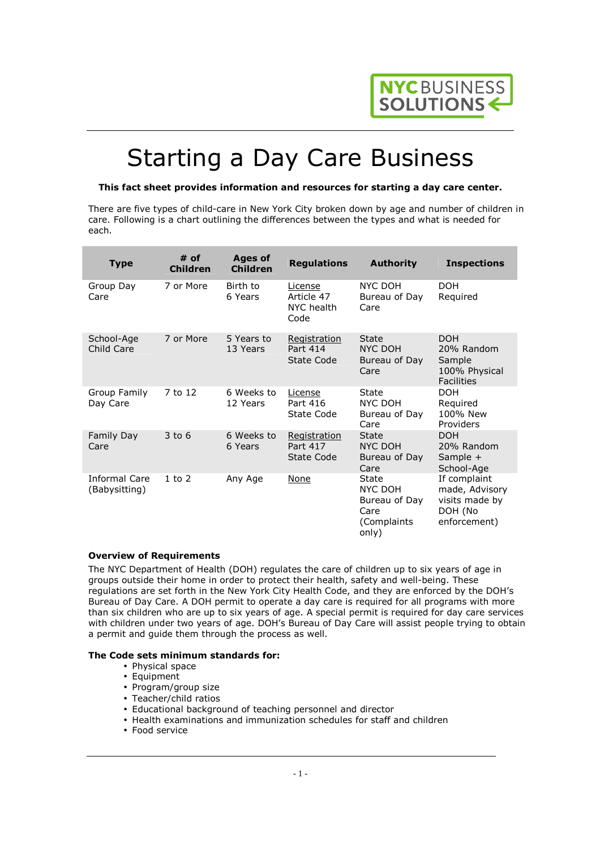

# Starting a Day Care Business

#### **This fact sheet provides information and resources for starting a day care center.**

There are five types of child-care in New York City broken down by age and number of children in care. Following is a chart outlining the differences between the types and what is needed for each.

| <b>Type</b>                           | # of<br><b>Children</b> | <b>Ages of</b><br><b>Children</b> | <b>Regulations</b>                            | <b>Authority</b>                                                   | <b>Inspections</b>                                                          |
|---------------------------------------|-------------------------|-----------------------------------|-----------------------------------------------|--------------------------------------------------------------------|-----------------------------------------------------------------------------|
| Group Day<br>Care                     | 7 or More               | Birth to<br>6 Years               | License<br>Article 47<br>NYC health<br>Code   | NYC DOH<br>Bureau of Day<br>Care                                   | <b>DOH</b><br>Required                                                      |
| School-Age<br>Child Care              | 7 or More               | 5 Years to<br>13 Years            | Registration<br>Part 414<br><b>State Code</b> | State<br><b>NYC DOH</b><br>Bureau of Day<br>Care                   | <b>DOH</b><br>20% Random<br>Sample<br>100% Physical<br><b>Facilities</b>    |
| Group Family<br>Day Care              | 7 to 12                 | 6 Weeks to<br>12 Years            | License<br>Part 416<br><b>State Code</b>      | <b>State</b><br>NYC DOH<br>Bureau of Day<br>Care                   | <b>DOH</b><br>Reguired<br>100% New<br>Providers                             |
| Family Day<br>Care                    | $3$ to $6$              | 6 Weeks to<br>6 Years             | Registration<br>Part 417<br><b>State Code</b> | <b>State</b><br>NYC DOH<br>Bureau of Day<br>Care                   | <b>DOH</b><br>20% Random<br>Sample +<br>School-Age                          |
| <b>Informal Care</b><br>(Babysitting) | $1$ to $2$              | Any Age                           | None                                          | State<br>NYC DOH<br>Bureau of Day<br>Care<br>(Complaints)<br>only) | If complaint<br>made, Advisory<br>visits made by<br>DOH (No<br>enforcement) |

#### **Overview of Requirements**

The NYC Department of Health (DOH) regulates the care of children up to six years of age in groups outside their home in order to protect their health, safety and well-being. These regulations are set forth in the New York City Health Code, and they are enforced by the DOH's Bureau of Day Care. A DOH permit to operate a day care is required for all programs with more than six children who are up to six years of age. A special permit is required for day care services with children under two years of age. DOH's Bureau of Day Care will assist people trying to obtain a permit and guide them through the process as well.

#### **The Code sets minimum standards for:**

- Physical space
- Equipment
- Program/group size
- Teacher/child ratios
- Educational background of teaching personnel and director
- Health examinations and immunization schedules for staff and children
- Food service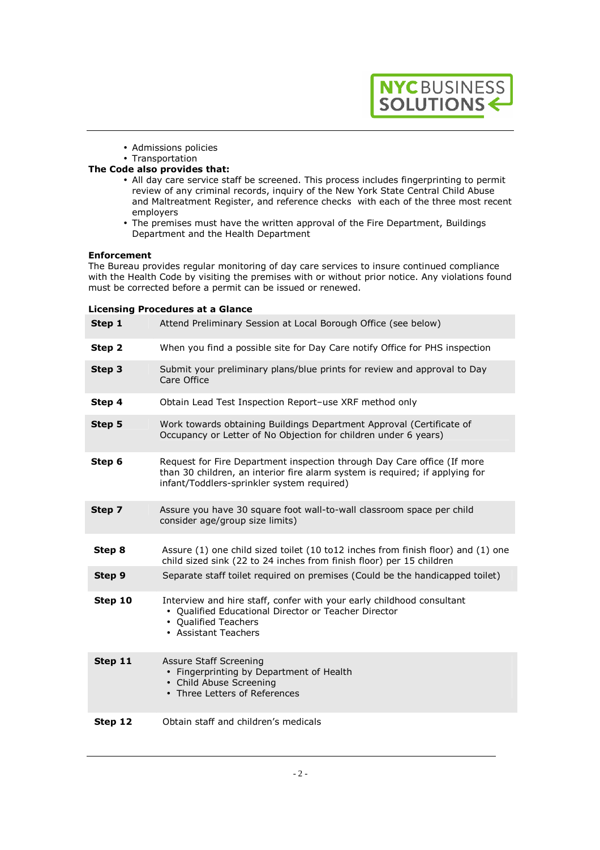

- Admissions policies
- Transportation

### **The Code also provides that:**

- All day care service staff be screened. This process includes fingerprinting to permit review of any criminal records, inquiry of the New York State Central Child Abuse and Maltreatment Register, and reference checks with each of the three most recent employers
- The premises must have the written approval of the Fire Department, Buildings Department and the Health Department

### **Enforcement**

The Bureau provides regular monitoring of day care services to insure continued compliance with the Health Code by visiting the premises with or without prior notice. Any violations found must be corrected before a permit can be issued or renewed.

#### **Licensing Procedures at a Glance**

| Step 1  | Attend Preliminary Session at Local Borough Office (see below)                                                                                                                                        |
|---------|-------------------------------------------------------------------------------------------------------------------------------------------------------------------------------------------------------|
| Step 2  | When you find a possible site for Day Care notify Office for PHS inspection                                                                                                                           |
| Step 3  | Submit your preliminary plans/blue prints for review and approval to Day<br>Care Office                                                                                                               |
| Step 4  | Obtain Lead Test Inspection Report-use XRF method only                                                                                                                                                |
| Step 5  | Work towards obtaining Buildings Department Approval (Certificate of<br>Occupancy or Letter of No Objection for children under 6 years)                                                               |
| Step 6  | Request for Fire Department inspection through Day Care office (If more<br>than 30 children, an interior fire alarm system is required; if applying for<br>infant/Toddlers-sprinkler system required) |
| Step 7  | Assure you have 30 square foot wall-to-wall classroom space per child<br>consider age/group size limits)                                                                                              |
| Step 8  | Assure (1) one child sized toilet (10 to12 inches from finish floor) and (1) one<br>child sized sink (22 to 24 inches from finish floor) per 15 children                                              |
| Step 9  | Separate staff toilet required on premises (Could be the handicapped toilet)                                                                                                                          |
| Step 10 | Interview and hire staff, confer with your early childhood consultant<br>• Qualified Educational Director or Teacher Director<br>• Qualified Teachers<br>• Assistant Teachers                         |
| Step 11 | Assure Staff Screening<br>• Fingerprinting by Department of Health<br>• Child Abuse Screening<br>• Three Letters of References                                                                        |
| Step 12 | Obtain staff and children's medicals                                                                                                                                                                  |